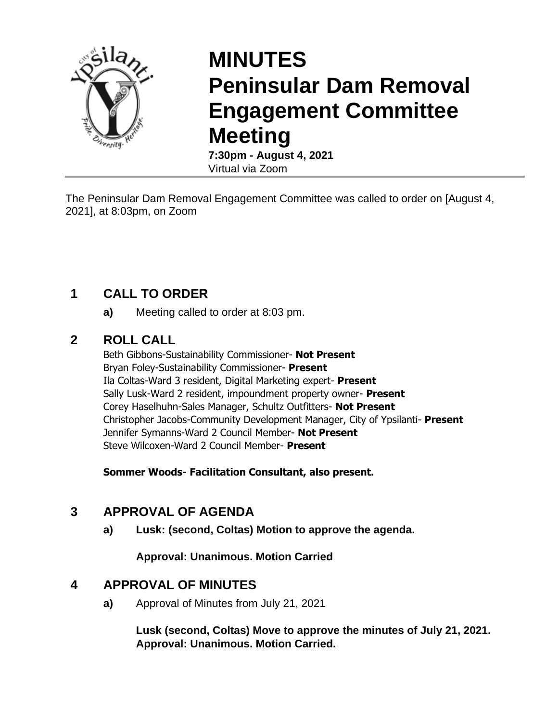

# **MINUTES Peninsular Dam Removal Engagement Committee Meeting**

**7:30pm - August 4, 2021** Virtual via Zoom

The Peninsular Dam Removal Engagement Committee was called to order on [August 4, 2021], at 8:03pm, on Zoom

# **1 CALL TO ORDER**

**a)** Meeting called to order at 8:03 pm.

## **2 ROLL CALL**

Beth Gibbons-Sustainability Commissioner- **Not Present** Bryan Foley-Sustainability Commissioner- **Present** Ila Coltas-Ward 3 resident, Digital Marketing expert- **Present** Sally Lusk-Ward 2 resident, impoundment property owner- **Present** Corey Haselhuhn-Sales Manager, Schultz Outfitters- **Not Present** Christopher Jacobs-Community Development Manager, City of Ypsilanti- **Present** Jennifer Symanns-Ward 2 Council Member- **Not Present** Steve Wilcoxen-Ward 2 Council Member- **Present**

**Sommer Woods- Facilitation Consultant, also present.** 

# **3 APPROVAL OF AGENDA**

**a) Lusk: (second, Coltas) Motion to approve the agenda.**

**Approval: Unanimous. Motion Carried**

## **4 APPROVAL OF MINUTES**

**a)** Approval of Minutes from July 21, 2021

**Lusk (second, Coltas) Move to approve the minutes of July 21, 2021. Approval: Unanimous. Motion Carried.**